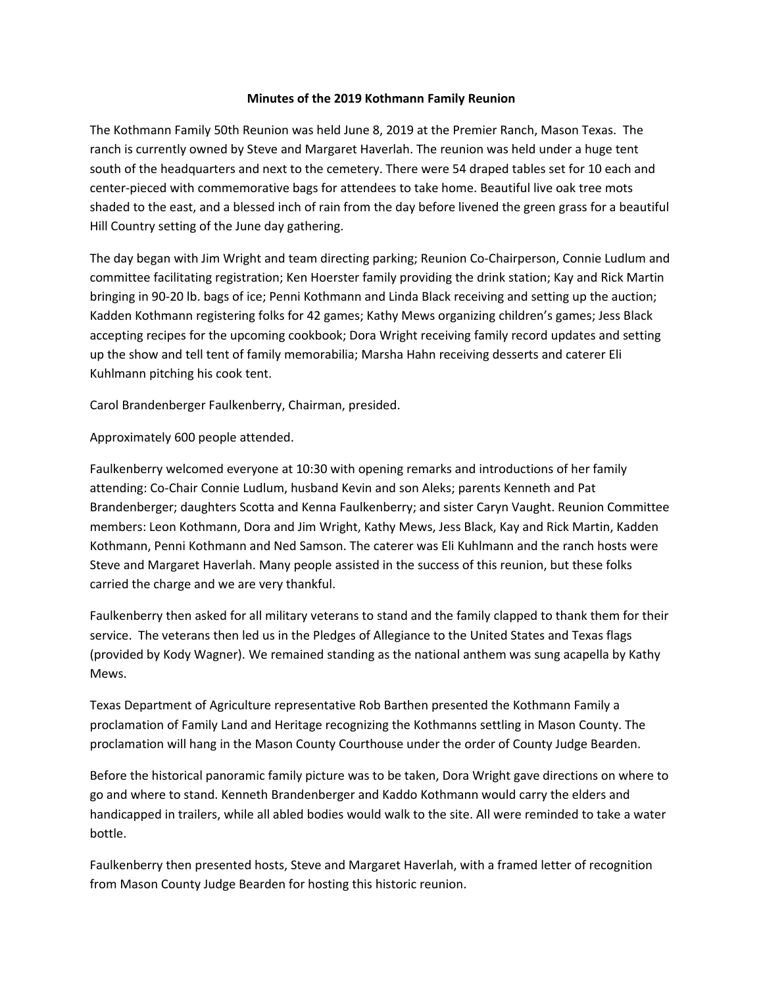## **Minutes of the 2019 Kothmann Family Reunion**

The Kothmann Family 50th Reunion was held June 8, 2019 at the Premier Ranch, Mason Texas. The ranch is currently owned by Steve and Margaret Haverlah. The reunion was held under a huge tent south of the headquarters and next to the cemetery. There were 54 draped tables set for 10 each and center-pieced with commemorative bags for attendees to take home. Beautiful live oak tree mots shaded to the east, and a blessed inch of rain from the day before livened the green grass for a beautiful Hill Country setting of the June day gathering.

The day began with Jim Wright and team directing parking; Reunion Co-Chairperson, Connie Ludlum and committee facilitating registration; Ken Hoerster family providing the drink station; Kay and Rick Martin bringing in 90-20 lb. bags of ice; Penni Kothmann and Linda Black receiving and setting up the auction; Kadden Kothmann registering folks for 42 games; Kathy Mews organizing children's games; Jess Black accepting recipes for the upcoming cookbook; Dora Wright receiving family record updates and setting up the show and tell tent of family memorabilia; Marsha Hahn receiving desserts and caterer Eli Kuhlmann pitching his cook tent.

Carol Brandenberger Faulkenberry, Chairman, presided.

Approximately 600 people attended.

Faulkenberry welcomed everyone at 10:30 with opening remarks and introductions of her family attending: Co-Chair Connie Ludlum, husband Kevin and son Aleks; parents Kenneth and Pat Brandenberger; daughters Scotta and Kenna Faulkenberry; and sister Caryn Vaught. Reunion Committee members: Leon Kothmann, Dora and Jim Wright, Kathy Mews, Jess Black, Kay and Rick Martin, Kadden Kothmann, Penni Kothmann and Ned Samson. The caterer was Eli Kuhlmann and the ranch hosts were Steve and Margaret Haverlah. Many people assisted in the success of this reunion, but these folks carried the charge and we are very thankful.

Faulkenberry then asked for all military veterans to stand and the family clapped to thank them for their service. The veterans then led us in the Pledges of Allegiance to the United States and Texas flags (provided by Kody Wagner). We remained standing as the national anthem was sung acapella by Kathy Mews.

Texas Department of Agriculture representative Rob Barthen presented the Kothmann Family a proclamation of Family Land and Heritage recognizing the Kothmanns settling in Mason County. The proclamation will hang in the Mason County Courthouse under the order of County Judge Bearden.

Before the historical panoramic family picture was to be taken, Dora Wright gave directions on where to go and where to stand. Kenneth Brandenberger and Kaddo Kothmann would carry the elders and handicapped in trailers, while all abled bodies would walk to the site. All were reminded to take a water bottle.

Faulkenberry then presented hosts, Steve and Margaret Haverlah, with a framed letter of recognition from Mason County Judge Bearden for hosting this historic reunion.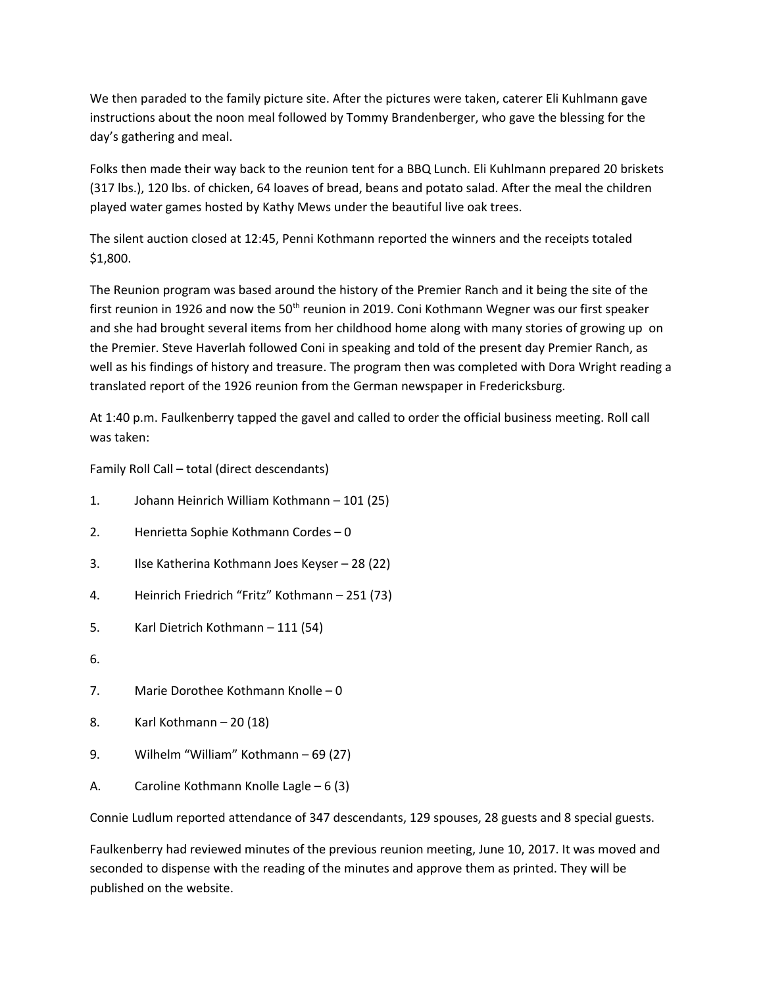We then paraded to the family picture site. After the pictures were taken, caterer Eli Kuhlmann gave instructions about the noon meal followed by Tommy Brandenberger, who gave the blessing for the day's gathering and meal.

Folks then made their way back to the reunion tent for a BBQ Lunch. Eli Kuhlmann prepared 20 briskets (317 lbs.), 120 lbs. of chicken, 64 loaves of bread, beans and potato salad. After the meal the children played water games hosted by Kathy Mews under the beautiful live oak trees.

The silent auction closed at 12:45, Penni Kothmann reported the winners and the receipts totaled \$1,800.

The Reunion program was based around the history of the Premier Ranch and it being the site of the first reunion in 1926 and now the 50<sup>th</sup> reunion in 2019. Coni Kothmann Wegner was our first speaker and she had brought several items from her childhood home along with many stories of growing up on the Premier. Steve Haverlah followed Coni in speaking and told of the present day Premier Ranch, as well as his findings of history and treasure. The program then was completed with Dora Wright reading a translated report of the 1926 reunion from the German newspaper in Fredericksburg.

At 1:40 p.m. Faulkenberry tapped the gavel and called to order the official business meeting. Roll call was taken:

Family Roll Call – total (direct descendants)

- 1. Johann Heinrich William Kothmann 101 (25)
- 2. Henrietta Sophie Kothmann Cordes 0
- 3. Ilse Katherina Kothmann Joes Keyser 28 (22)
- 4. Heinrich Friedrich "Fritz" Kothmann 251 (73)
- 5. Karl Dietrich Kothmann 111 (54)
- 6.
- 7. Marie Dorothee Kothmann Knolle 0
- 8. Karl Kothmann 20 (18)
- 9. Wilhelm "William" Kothmann 69 (27)
- A. Caroline Kothmann Knolle Lagle 6 (3)

Connie Ludlum reported attendance of 347 descendants, 129 spouses, 28 guests and 8 special guests.

Faulkenberry had reviewed minutes of the previous reunion meeting, June 10, 2017. It was moved and seconded to dispense with the reading of the minutes and approve them as printed. They will be published on the website.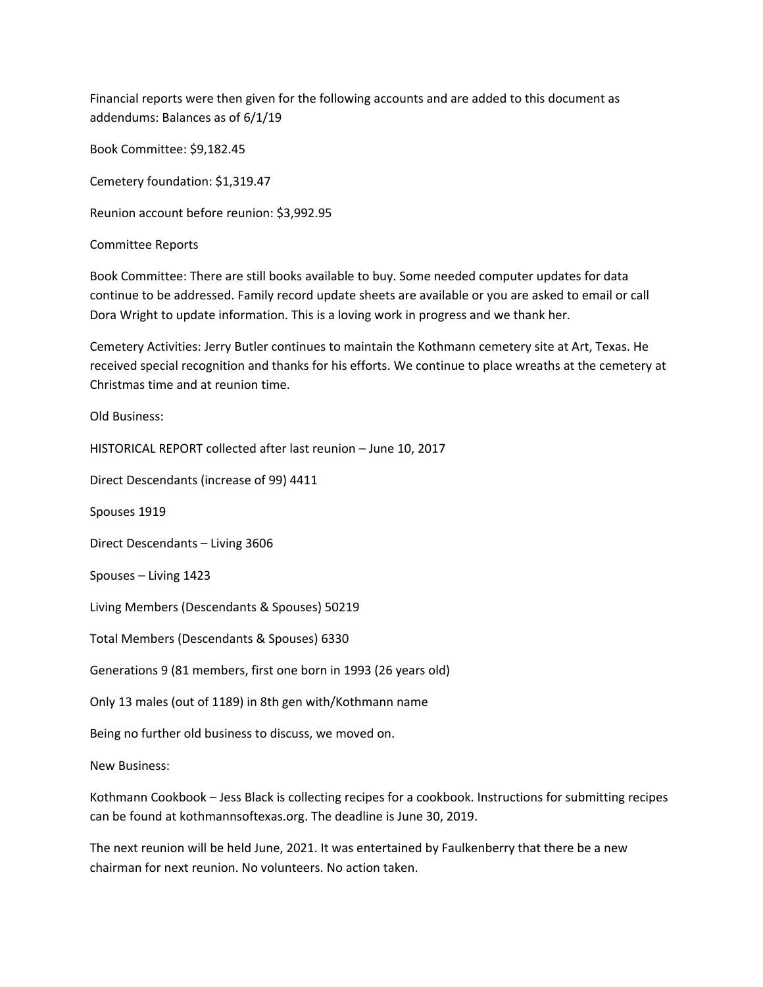Financial reports were then given for the following accounts and are added to this document as addendums: Balances as of 6/1/19

Book Committee: \$9,182.45

Cemetery foundation: \$1,319.47

Reunion account before reunion: \$3,992.95

Committee Reports

Book Committee: There are still books available to buy. Some needed computer updates for data continue to be addressed. Family record update sheets are available or you are asked to email or call Dora Wright to update information. This is a loving work in progress and we thank her.

Cemetery Activities: Jerry Butler continues to maintain the Kothmann cemetery site at Art, Texas. He received special recognition and thanks for his efforts. We continue to place wreaths at the cemetery at Christmas time and at reunion time.

Old Business:

HISTORICAL REPORT collected after last reunion – June 10, 2017

Direct Descendants (increase of 99) 4411

Spouses 1919

Direct Descendants – Living 3606

Spouses – Living 1423

Living Members (Descendants & Spouses) 50219

Total Members (Descendants & Spouses) 6330

Generations 9 (81 members, first one born in 1993 (26 years old)

Only 13 males (out of 1189) in 8th gen with/Kothmann name

Being no further old business to discuss, we moved on.

New Business:

Kothmann Cookbook – Jess Black is collecting recipes for a cookbook. Instructions for submitting recipes can be found at kothmannsoftexas.org. The deadline is June 30, 2019.

The next reunion will be held June, 2021. It was entertained by Faulkenberry that there be a new chairman for next reunion. No volunteers. No action taken.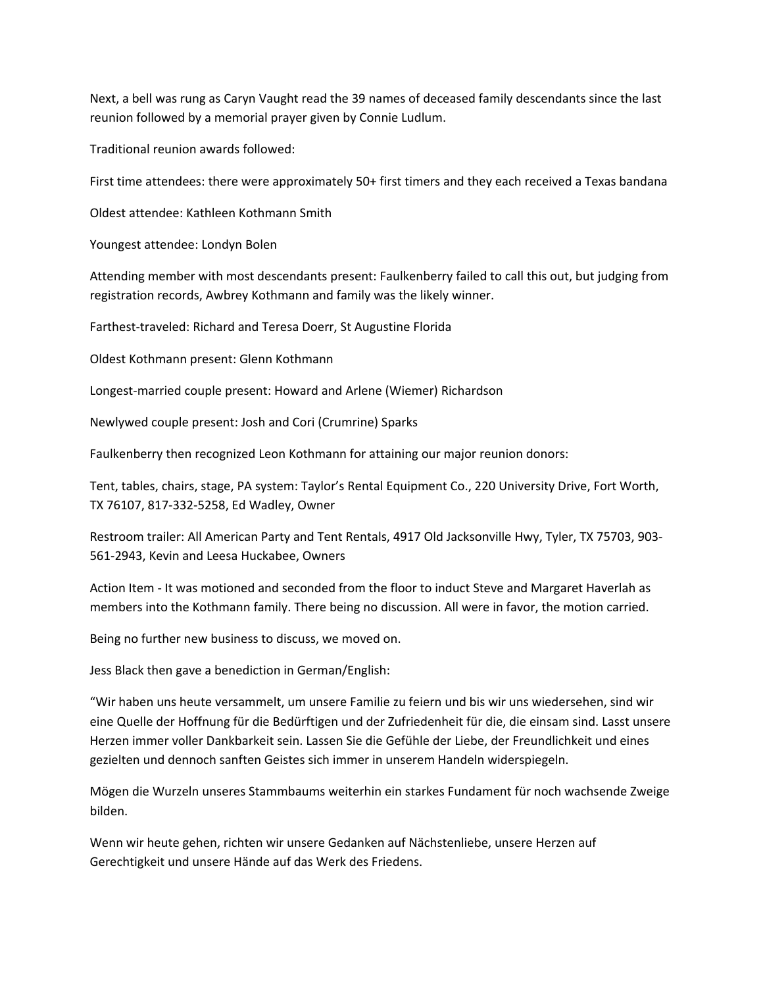Next, a bell was rung as Caryn Vaught read the 39 names of deceased family descendants since the last reunion followed by a memorial prayer given by Connie Ludlum.

Traditional reunion awards followed:

First time attendees: there were approximately 50+ first timers and they each received a Texas bandana

Oldest attendee: Kathleen Kothmann Smith

Youngest attendee: Londyn Bolen

Attending member with most descendants present: Faulkenberry failed to call this out, but judging from registration records, Awbrey Kothmann and family was the likely winner.

Farthest-traveled: Richard and Teresa Doerr, St Augustine Florida

Oldest Kothmann present: Glenn Kothmann

Longest-married couple present: Howard and Arlene (Wiemer) Richardson

Newlywed couple present: Josh and Cori (Crumrine) Sparks

Faulkenberry then recognized Leon Kothmann for attaining our major reunion donors:

Tent, tables, chairs, stage, PA system: Taylor's Rental Equipment Co., 220 University Drive, Fort Worth, TX 76107, 817-332-5258, Ed Wadley, Owner

Restroom trailer: All American Party and Tent Rentals, 4917 Old Jacksonville Hwy, Tyler, TX 75703, 903- 561-2943, Kevin and Leesa Huckabee, Owners

Action Item - It was motioned and seconded from the floor to induct Steve and Margaret Haverlah as members into the Kothmann family. There being no discussion. All were in favor, the motion carried.

Being no further new business to discuss, we moved on.

Jess Black then gave a benediction in German/English:

"Wir haben uns heute versammelt, um unsere Familie zu feiern und bis wir uns wiedersehen, sind wir eine Quelle der Hoffnung für die Bedürftigen und der Zufriedenheit für die, die einsam sind. Lasst unsere Herzen immer voller Dankbarkeit sein. Lassen Sie die Gefühle der Liebe, der Freundlichkeit und eines gezielten und dennoch sanften Geistes sich immer in unserem Handeln widerspiegeln.

Mögen die Wurzeln unseres Stammbaums weiterhin ein starkes Fundament für noch wachsende Zweige bilden.

Wenn wir heute gehen, richten wir unsere Gedanken auf Nächstenliebe, unsere Herzen auf Gerechtigkeit und unsere Hände auf das Werk des Friedens.